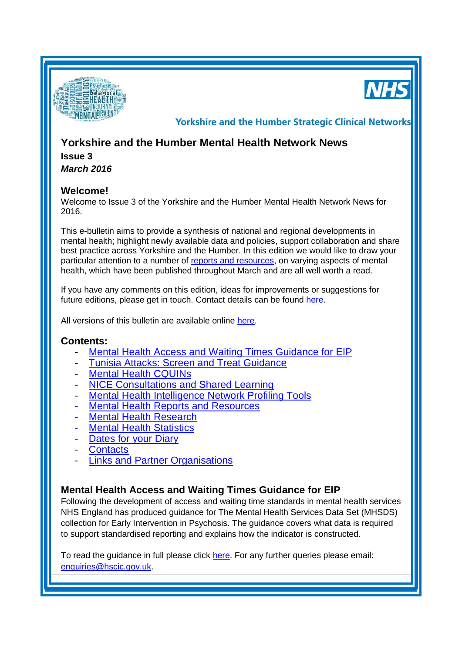

**NHS** 

**Yorkshire and the Humber Strategic Clinical Networks** 

# **Yorkshire and the Humber Mental Health Network News**

**Issue 3** *March 2016*

# **Welcome!**

Welcome to Issue 3 of the Yorkshire and the Humber Mental Health Network News for 2016.

This e-bulletin aims to provide a synthesis of national and regional developments in mental health; highlight newly available data and policies, support collaboration and share best practice across Yorkshire and the Humber. In this edition we would like to draw your particular attention to a number of [reports and resources,](#page-2-0) on varying aspects of mental health, which have been published throughout March and are all well worth a read.

If you have any comments on this edition, ideas for improvements or suggestions for future editions, please get in touch. Contact details can be found [here.](#page-3-0)

All versions of this bulletin are available online [here.](http://www.yhscn.nhs.uk/mental-health-clinic/mental-health-network/MH-documents-and-links.php)

# **Contents:**

- [Mental Health Access and Waiting Times Guidance for EIP](#page-0-0)
- [Tunisia Attacks: Screen and Treat Guidance](#page-1-0)
- **[Mental Health CQUINs](#page-1-1)**
- [NICE Consultations and Shared Learning](#page-1-2)
- [Mental Health Intelligence Network Profiling Tools](#page-1-3)
- **[Mental Health Reports](#page-2-0) and Resources**
- **[Mental Health Research](#page-3-1)**
- **Mental Health Statistics**
- [Dates for your](#page-0-1) Diary
- **[Contacts](#page-3-0)**
- [Links and Partner Organisations](#page-4-0)

# <span id="page-0-1"></span><span id="page-0-0"></span>**Mental Health Access and Waiting Times Guidance for EIP**

Following the development of access and waiting time standards in mental health services NHS England has produced guidance for The Mental Health Services Data Set (MHSDS) collection for Early Intervention in Psychosis. The guidance covers what data is required to support standardised reporting and explains how the indicator is constructed.

To read the guidance in full please click [here.](https://www.england.nhs.uk/mentalhealth/wp-content/uploads/sites/29/2016/02/tech-cyped-eip.pdf) For any further queries please email: [enquiries@hscic.gov.uk.](mailto:enquiries@hscic.gov.uk)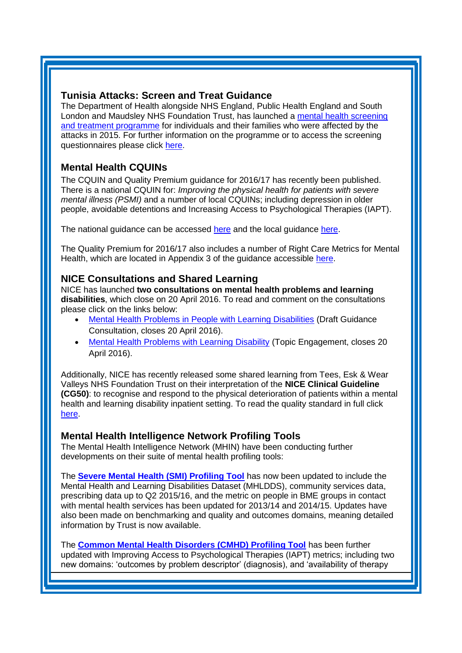# <span id="page-1-0"></span>**Tunisia Attacks: Screen and Treat Guidance**

The Department of Health alongside NHS England, Public Health England and South London and Maudsley NHS Foundation Trust, has launched a [mental health screening](http://links.nhs.mkt5643.com/ctt?kn=14&ms=NTA4Njc4MTUS1&r=NTMyMjc2Nzk3NzAS1&b=0&j=ODgxMDA0MTQwS0&mt=1&rt=0)  [and treatment programme](http://links.nhs.mkt5643.com/ctt?kn=14&ms=NTA4Njc4MTUS1&r=NTMyMjc2Nzk3NzAS1&b=0&j=ODgxMDA0MTQwS0&mt=1&rt=0) for individuals and their families who were affected by the attacks in 2015. For further information on the programme or to access the screening questionnaires please click [here.](https://www.gov.uk/government/publications/terrorism-attacks-mental-health-check-and-treatment)

# <span id="page-1-1"></span>**Mental Health CQUINs**

The CQUIN and Quality Premium guidance for 2016/17 has recently been published. There is a national CQUIN for: *Improving the physical health for patients with severe mental illness (PSMI)* and a number of local CQUINs; including depression in older people, avoidable detentions and Increasing Access to Psychological Therapies (IAPT).

The national guidance can be accessed [here](https://www.england.nhs.uk/nhs-standard-contract/cquin/cquin-16-17/) and the local guidance [here.](https://www.england.nhs.uk/wp-content/uploads/2016/03/lcl-cquin-indictr-links-v2.pdf)

The Quality Premium for 2016/17 also includes a number of Right Care Metrics for Mental Health, which are located in Appendix 3 of the guidance accessible [here.](https://www.england.nhs.uk/wp-content/uploads/2016/03/qualty-prem-guid-2016-17.pdf)

# <span id="page-1-2"></span>**NICE Consultations and Shared Learning**

NICE has launched **two consultations on mental health problems and learning disabilities**, which close on 20 April 2016. To read and comment on the consultations please click on the links below:

- [Mental Health Problems in People with Learning Disabilities](https://www.nice.org.uk/guidance/indevelopment/gid-cgwave0684/consultation/html-content) (Draft Guidance Consultation, closes 20 April 2016).
- [Mental Health Problems with Learning Disability](https://www.nice.org.uk/guidance/indevelopment/gid-qs10007/consultation/html-content-2) (Topic Engagement, closes 20 April 2016).

Additionally, NICE has recently released some shared learning from Tees, Esk & Wear Valleys NHS Foundation Trust on their interpretation of the **NICE Clinical Guideline (CG50)**: to recognise and respond to the physical deterioration of patients within a mental health and learning disability inpatient setting. To read the quality standard in full click [here.](http://www.nice.org.uk/guidance/qs115)

# <span id="page-1-3"></span>**Mental Health Intelligence Network Profiling Tools**

The Mental Health Intelligence Network (MHIN) have been conducting further developments on their suite of mental health profiling tools:

The **[Severe Mental Health \(SMI\) Profiling Tool](http://fingertips.phe.org.uk/profile-group/mental-health/profile/severe-mental-illness)** has now been updated to include the Mental Health and Learning Disabilities Dataset (MHLDDS), community services data, prescribing data up to Q2 2015/16, and the metric on people in BME groups in contact with mental health services has been updated for 2013/14 and 2014/15. Updates have also been made on benchmarking and quality and outcomes domains, meaning detailed information by Trust is now available.

The **[Common Mental Health Disorders \(CMHD\) Profiling Tool](http://fingertips.phe.org.uk/profile-group/mental-health/profile/common-mental-disorders)** has been further updated with Improving Access to Psychological Therapies (IAPT) metrics; including two new domains: 'outcomes by problem descriptor' (diagnosis), and 'availability of therapy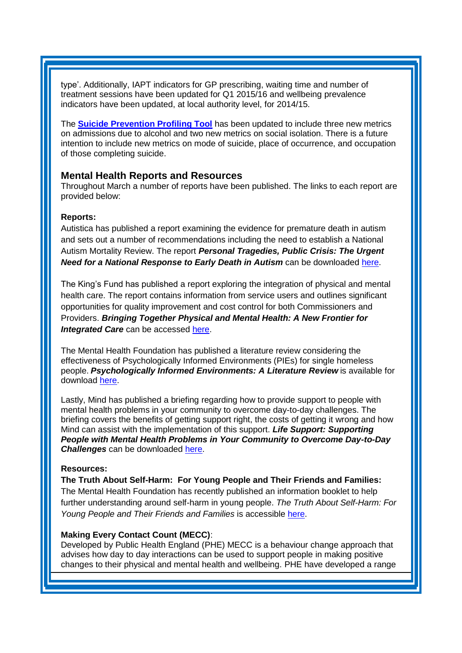type'. Additionally, IAPT indicators for GP prescribing, waiting time and number of treatment sessions have been updated for Q1 2015/16 and wellbeing prevalence indicators have been updated, at local authority level, for 2014/15.

The **[Suicide Prevention Profiling Tool](http://fingertips.phe.org.uk/profile-group/mental-health/profile/suicide)** has been updated to include three new metrics on admissions due to alcohol and two new metrics on social isolation. There is a future intention to include new metrics on mode of suicide, place of occurrence, and occupation of those completing suicide.

# <span id="page-2-0"></span>**Mental Health Reports and Resources**

Throughout March a number of reports have been published. The links to each report are provided below:

## **Reports:**

Autistica has published a report examining the evidence for premature death in autism and sets out a number of recommendations including the need to establish a National Autism Mortality Review. The report *Personal Tragedies, Public Crisis: The Urgent Need for a National Response to Early Death in Autism* can be downloaded [here.](https://www.autistica.org.uk/wp-content/uploads/2016/03/Personal-tragedies-public-crisis.pdf)

The King's Fund has published a report exploring the integration of physical and mental health care. The report contains information from service users and outlines significant opportunities for quality improvement and cost control for both Commissioners and Providers. *Bringing Together Physical and Mental Health: A New Frontier for Integrated Care* can be accessed [here.](http://www.kingsfund.org.uk/publications/physical-and-mental-health)

The Mental Health Foundation has published a literature review considering the effectiveness of Psychologically Informed Environments (PIEs) for single homeless people. *Psychologically Informed Environments: A Literature Review* is available for download [here.](https://www.mentalhealth.org.uk/publications/psychologically-informed-environments-literature-review)

Lastly, Mind has published a briefing regarding how to provide support to people with mental health problems in your community to overcome day-to-day challenges. The briefing covers the benefits of getting support right, the costs of getting it wrong and how Mind can assist with the implementation of this support. *Life Support: Supporting People with Mental Health Problems in Your Community to Overcome Day-to-Day Challenges* can be downloaded [here.](http://www.mind.org.uk/media/4158991/mind-life-support-briefing.pdf)

#### **Resources:**

**The Truth About Self-Harm: For Young People and Their Friends and Families:** The Mental Health Foundation has recently published an information booklet to help further understanding around self-harm in young people. *[The Truth About Self-Harm: For](https://www.mentalhealth.org.uk/publications/truth-about-self-harm)  [Young People and Their Friends and Families](https://www.mentalhealth.org.uk/publications/truth-about-self-harm)* is accessible [here.](https://www.mentalhealth.org.uk/publications/truth-about-self-harm)

#### **Making Every Contact Count (MECC)**:

Developed by Public Health England (PHE) MECC is a behaviour change approach that advises how day to day interactions can be used to support people in making positive changes to their physical and mental health and wellbeing. PHE have developed a range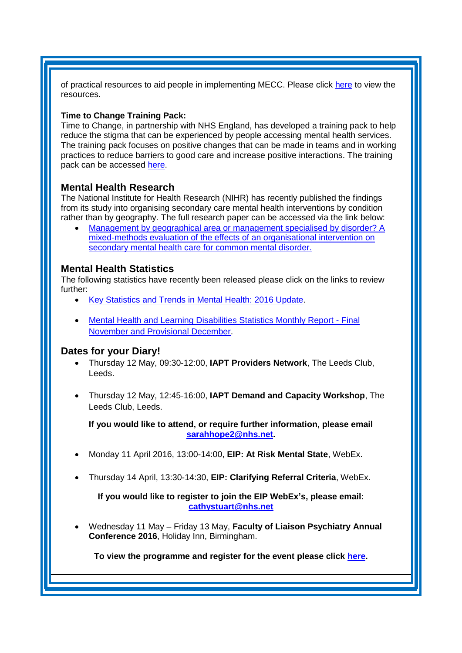of practical resources to aid people in implementing MECC. Please click [here](https://www.gov.uk/government/publications/making-every-contact-count-mecc-practical-resources) to view the resources.

## **Time to Change Training Pack:**

Time to Change, in partnership with NHS England, has developed a training pack to help reduce the stigma that can be experienced by people accessing mental health services. The training pack focuses on positive changes that can be made in teams and in working practices to reduce barriers to good care and increase positive interactions. The training pack can be accessed [here.](https://www.time-to-change.org.uk/news/new-training-support-mental-health-professionals-tackle-stigma-and-discrimination-within)

## <span id="page-3-1"></span>**Mental Health Research**

The National Institute for Health Research (NIHR) has recently published the findings from its study into organising secondary care mental health interventions by condition rather than by geography. The full research paper can be accessed via the link below:

 [Management by geographical area or management specialised by disorder? A](http://www.journalslibrary.nihr.ac.uk/__data/assets/pdf_file/0005/162329/PlainEnglishSummary-hsdr04090.pdf)  [mixed-methods evaluation of the effects of an organisational intervention on](http://www.journalslibrary.nihr.ac.uk/__data/assets/pdf_file/0005/162329/PlainEnglishSummary-hsdr04090.pdf)  [secondary mental health care for common mental disorder.](http://www.journalslibrary.nihr.ac.uk/__data/assets/pdf_file/0005/162329/PlainEnglishSummary-hsdr04090.pdf)

## **Mental Health Statistics**

The following statistics have recently been released please click on the links to review further:

- [Key Statistics and Trends in Mental Health: 2016 Update.](http://www.nhsconfed.org/resources/2016/03/key-facts-and-trends-in-mental-health-2016-update)
- [Mental Health and Learning Disabilities Statistics Monthly Report -](http://www.hscic.gov.uk/catalogue/PUB20050) Final [November and Provisional December.](http://www.hscic.gov.uk/catalogue/PUB20050)

## **Dates for your Diary!**

- <span id="page-3-0"></span> Thursday 12 May, 09:30-12:00, **IAPT Providers Network**, The Leeds Club, Leeds.
- Thursday 12 May, 12:45-16:00, **IAPT Demand and Capacity Workshop**, The Leeds Club, Leeds.

**If you would like to attend, or require further information, please email [sarahhope2@nhs.net.](mailto:sarahhope2@nhs.net)**

- Monday 11 April 2016, 13:00-14:00, **EIP: At Risk Mental State**, WebEx.
- Thursday 14 April, 13:30-14:30, **EIP: Clarifying Referral Criteria**, WebEx.

**If you would like to register to join the EIP WebEx's, please email: [cathystuart@nhs.net](mailto:cathystuart@nhs.net)**

 Wednesday 11 May – Friday 13 May, **Faculty of Liaison Psychiatry Annual Conference 2016**, Holiday Inn, Birmingham.

**To view the programme and register for the event please click [here.](http://www.rcpsych.ac.uk/traininpsychiatry/conferencestraining/conferences/liaisonconference2016.aspx)**